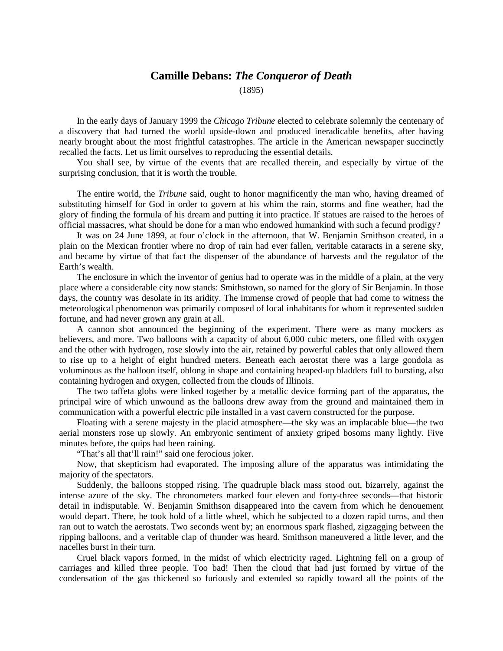## **Camille Debans:** *The Conqueror of Death*

(1895)

In the early days of January 1999 the *Chicago Tribune* elected to celebrate solemnly the centenary of a discovery that had turned the world upside-down and produced ineradicable benefits, after having nearly brought about the most frightful catastrophes. The article in the American newspaper succinctly recalled the facts. Let us limit ourselves to reproducing the essential details.

You shall see, by virtue of the events that are recalled therein, and especially by virtue of the surprising conclusion, that it is worth the trouble.

The entire world, the *Tribune* said, ought to honor magnificently the man who, having dreamed of substituting himself for God in order to govern at his whim the rain, storms and fine weather, had the glory of finding the formula of his dream and putting it into practice. If statues are raised to the heroes of official massacres, what should be done for a man who endowed humankind with such a fecund prodigy?

It was on 24 June 1899, at four o'clock in the afternoon, that W. Benjamin Smithson created, in a plain on the Mexican frontier where no drop of rain had ever fallen, veritable cataracts in a serene sky, and became by virtue of that fact the dispenser of the abundance of harvests and the regulator of the Earth's wealth.

The enclosure in which the inventor of genius had to operate was in the middle of a plain, at the very place where a considerable city now stands: Smithstown, so named for the glory of Sir Benjamin. In those days, the country was desolate in its aridity. The immense crowd of people that had come to witness the meteorological phenomenon was primarily composed of local inhabitants for whom it represented sudden fortune, and had never grown any grain at all.

A cannon shot announced the beginning of the experiment. There were as many mockers as believers, and more. Two balloons with a capacity of about 6,000 cubic meters, one filled with oxygen and the other with hydrogen, rose slowly into the air, retained by powerful cables that only allowed them to rise up to a height of eight hundred meters. Beneath each aerostat there was a large gondola as voluminous as the balloon itself, oblong in shape and containing heaped-up bladders full to bursting, also containing hydrogen and oxygen, collected from the clouds of Illinois.

The two taffeta globs were linked together by a metallic device forming part of the apparatus, the principal wire of which unwound as the balloons drew away from the ground and maintained them in communication with a powerful electric pile installed in a vast cavern constructed for the purpose.

Floating with a serene majesty in the placid atmosphere—the sky was an implacable blue—the two aerial monsters rose up slowly. An embryonic sentiment of anxiety griped bosoms many lightly. Five minutes before, the quips had been raining.

"That's all that'll rain!" said one ferocious joker.

Now, that skepticism had evaporated. The imposing allure of the apparatus was intimidating the majority of the spectators.

Suddenly, the balloons stopped rising. The quadruple black mass stood out, bizarrely, against the intense azure of the sky. The chronometers marked four eleven and forty-three seconds—that historic detail in indisputable. W. Benjamin Smithson disappeared into the cavern from which he denouement would depart. There, he took hold of a little wheel, which he subjected to a dozen rapid turns, and then ran out to watch the aerostats. Two seconds went by; an enormous spark flashed, zigzagging between the ripping balloons, and a veritable clap of thunder was heard. Smithson maneuvered a little lever, and the nacelles burst in their turn.

Cruel black vapors formed, in the midst of which electricity raged. Lightning fell on a group of carriages and killed three people. Too bad! Then the cloud that had just formed by virtue of the condensation of the gas thickened so furiously and extended so rapidly toward all the points of the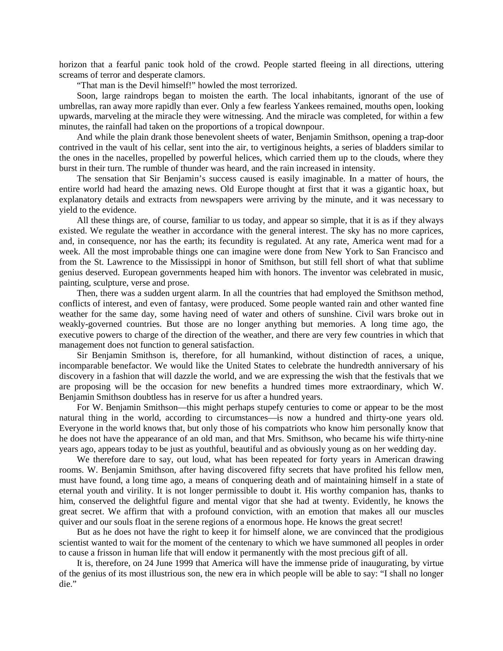horizon that a fearful panic took hold of the crowd. People started fleeing in all directions, uttering screams of terror and desperate clamors.

"That man is the Devil himself!" howled the most terrorized.

Soon, large raindrops began to moisten the earth. The local inhabitants, ignorant of the use of umbrellas, ran away more rapidly than ever. Only a few fearless Yankees remained, mouths open, looking upwards, marveling at the miracle they were witnessing. And the miracle was completed, for within a few minutes, the rainfall had taken on the proportions of a tropical downpour.

And while the plain drank those benevolent sheets of water, Benjamin Smithson, opening a trap-door contrived in the vault of his cellar, sent into the air, to vertiginous heights, a series of bladders similar to the ones in the nacelles, propelled by powerful helices, which carried them up to the clouds, where they burst in their turn. The rumble of thunder was heard, and the rain increased in intensity.

The sensation that Sir Benjamin's success caused is easily imaginable. In a matter of hours, the entire world had heard the amazing news. Old Europe thought at first that it was a gigantic hoax, but explanatory details and extracts from newspapers were arriving by the minute, and it was necessary to yield to the evidence.

All these things are, of course, familiar to us today, and appear so simple, that it is as if they always existed. We regulate the weather in accordance with the general interest. The sky has no more caprices, and, in consequence, nor has the earth; its fecundity is regulated. At any rate, America went mad for a week. All the most improbable things one can imagine were done from New York to San Francisco and from the St. Lawrence to the Mississippi in honor of Smithson, but still fell short of what that sublime genius deserved. European governments heaped him with honors. The inventor was celebrated in music, painting, sculpture, verse and prose.

Then, there was a sudden urgent alarm. In all the countries that had employed the Smithson method, conflicts of interest, and even of fantasy, were produced. Some people wanted rain and other wanted fine weather for the same day, some having need of water and others of sunshine. Civil wars broke out in weakly-governed countries. But those are no longer anything but memories. A long time ago, the executive powers to charge of the direction of the weather, and there are very few countries in which that management does not function to general satisfaction.

Sir Benjamin Smithson is, therefore, for all humankind, without distinction of races, a unique, incomparable benefactor. We would like the United States to celebrate the hundredth anniversary of his discovery in a fashion that will dazzle the world, and we are expressing the wish that the festivals that we are proposing will be the occasion for new benefits a hundred times more extraordinary, which W. Benjamin Smithson doubtless has in reserve for us after a hundred years.

For W. Benjamin Smithson—this might perhaps stupefy centuries to come or appear to be the most natural thing in the world, according to circumstances—is now a hundred and thirty-one years old. Everyone in the world knows that, but only those of his compatriots who know him personally know that he does not have the appearance of an old man, and that Mrs. Smithson, who became his wife thirty-nine years ago, appears today to be just as youthful, beautiful and as obviously young as on her wedding day.

We therefore dare to say, out loud, what has been repeated for forty years in American drawing rooms. W. Benjamin Smithson, after having discovered fifty secrets that have profited his fellow men, must have found, a long time ago, a means of conquering death and of maintaining himself in a state of eternal youth and virility. It is not longer permissible to doubt it. His worthy companion has, thanks to him, conserved the delightful figure and mental vigor that she had at twenty. Evidently, he knows the great secret. We affirm that with a profound conviction, with an emotion that makes all our muscles quiver and our souls float in the serene regions of a enormous hope. He knows the great secret!

But as he does not have the right to keep it for himself alone, we are convinced that the prodigious scientist wanted to wait for the moment of the centenary to which we have summoned all peoples in order to cause a frisson in human life that will endow it permanently with the most precious gift of all.

It is, therefore, on 24 June 1999 that America will have the immense pride of inaugurating, by virtue of the genius of its most illustrious son, the new era in which people will be able to say: "I shall no longer die."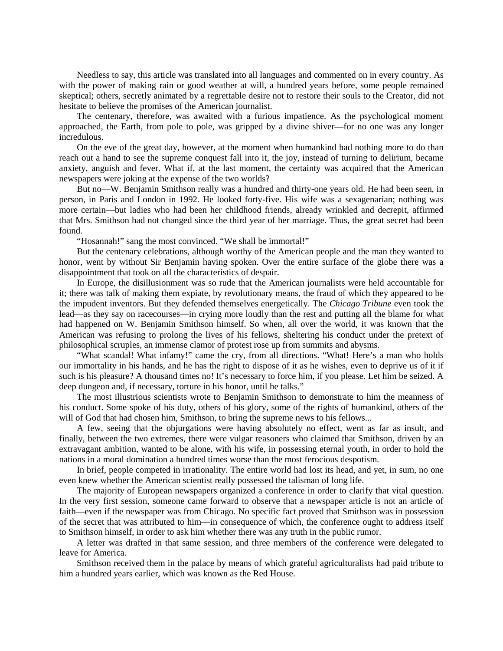Needless to say, this article was translated into all languages and commented on in every country. As with the power of making rain or good weather at will, a hundred years before, some people remained skeptical; others, secretly animated by a regrettable desire not to restore their souls to the Creator, did not hesitate to believe the promises of the American journalist.

The centenary, therefore, was awaited with a furious impatience. As the psychological moment approached, the Earth, from pole to pole, was gripped by a divine shiver—for no one was any longer incredulous.

On the eve of the great day, however, at the moment when humankind had nothing more to do than reach out a hand to see the supreme conquest fall into it, the joy, instead of turning to delirium, became anxiety, anguish and fever. What if, at the last moment, the certainty was acquired that the American newspapers were joking at the expense of the two worlds?

But no—W. Benjamin Smithson really was a hundred and thirty-one years old. He had been seen, in person, in Paris and London in 1992. He looked forty-five. His wife was a sexagenarian; nothing was more certain—but ladies who had been her childhood friends, already wrinkled and decrepit, affirmed that Mrs. Smithson had not changed since the third year of her marriage. Thus, the great secret had been found.

"Hosannah!" sang the most convinced. "We shall be immortal!"

But the centenary celebrations, although worthy of the American people and the man they wanted to honor, went by without Sir Benjamin having spoken. Over the entire surface of the globe there was a disappointment that took on all the characteristics of despair.

In Europe, the disillusionment was so rude that the American journalists were held accountable for it; there was talk of making them expiate, by revolutionary means, the fraud of which they appeared to be the impudent inventors. But they defended themselves energetically. The *Chicago Tribune* even took the lead—as they say on racecourses—in crying more loudly than the rest and putting all the blame for what had happened on W. Benjamin Smithson himself. So when, all over the world, it was known that the American was refusing to prolong the lives of his fellows, sheltering his conduct under the pretext of philosophical scruples, an immense clamor of protest rose up from summits and abysms.

"What scandal! What infamy!" came the cry, from all directions. "What! Here's a man who holds our immortality in his hands, and he has the right to dispose of it as he wishes, even to deprive us of it if such is his pleasure? A thousand times no! It's necessary to force him, if you please. Let him be seized. A deep dungeon and, if necessary, torture in his honor, until he talks."

The most illustrious scientists wrote to Benjamin Smithson to demonstrate to him the meanness of his conduct. Some spoke of his duty, others of his glory, some of the rights of humankind, others of the will of God that had chosen him, Smithson, to bring the supreme news to his fellows...

A few, seeing that the objurgations were having absolutely no effect, went as far as insult, and finally, between the two extremes, there were vulgar reasoners who claimed that Smithson, driven by an extravagant ambition, wanted to be alone, with his wife, in possessing eternal youth, in order to hold the nations in a moral domination a hundred times worse than the most ferocious despotism.

In brief, people competed in irrationality. The entire world had lost its head, and yet, in sum, no one even knew whether the American scientist really possessed the talisman of long life.

The majority of European newspapers organized a conference in order to clarify that vital question. In the very first session, someone came forward to observe that a newspaper article is not an article of faith—even if the newspaper was from Chicago. No specific fact proved that Smithson was in possession of the secret that was attributed to him—in consequence of which, the conference ought to address itself to Smithson himself, in order to ask him whether there was any truth in the public rumor.

A letter was drafted in that same session, and three members of the conference were delegated to leave for America.

Smithson received them in the palace by means of which grateful agriculturalists had paid tribute to him a hundred years earlier, which was known as the Red House.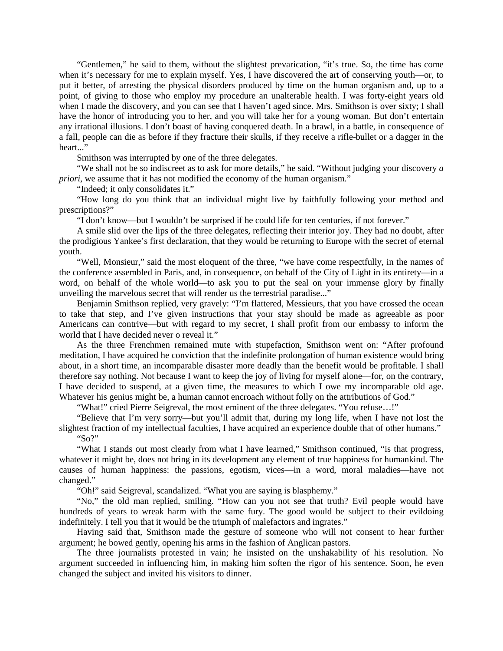"Gentlemen," he said to them, without the slightest prevarication, "it's true. So, the time has come when it's necessary for me to explain myself. Yes, I have discovered the art of conserving youth—or, to put it better, of arresting the physical disorders produced by time on the human organism and, up to a point, of giving to those who employ my procedure an unalterable health. I was forty-eight years old when I made the discovery, and you can see that I haven't aged since. Mrs. Smithson is over sixty; I shall have the honor of introducing you to her, and you will take her for a young woman. But don't entertain any irrational illusions. I don't boast of having conquered death. In a brawl, in a battle, in consequence of a fall, people can die as before if they fracture their skulls, if they receive a rifle-bullet or a dagger in the heart..."

Smithson was interrupted by one of the three delegates.

"We shall not be so indiscreet as to ask for more details," he said. "Without judging your discovery *a priori*, we assume that it has not modified the economy of the human organism."

"Indeed; it only consolidates it."

"How long do you think that an individual might live by faithfully following your method and prescriptions?"

"I don't know—but I wouldn't be surprised if he could life for ten centuries, if not forever."

A smile slid over the lips of the three delegates, reflecting their interior joy. They had no doubt, after the prodigious Yankee's first declaration, that they would be returning to Europe with the secret of eternal youth.

"Well, Monsieur," said the most eloquent of the three, "we have come respectfully, in the names of the conference assembled in Paris, and, in consequence, on behalf of the City of Light in its entirety—in a word, on behalf of the whole world—to ask you to put the seal on your immense glory by finally unveiling the marvelous secret that will render us the terrestrial paradise..."

Benjamin Smithson replied, very gravely: "I'm flattered, Messieurs, that you have crossed the ocean to take that step, and I've given instructions that your stay should be made as agreeable as poor Americans can contrive—but with regard to my secret, I shall profit from our embassy to inform the world that I have decided never o reveal it."

As the three Frenchmen remained mute with stupefaction, Smithson went on: "After profound meditation, I have acquired he conviction that the indefinite prolongation of human existence would bring about, in a short time, an incomparable disaster more deadly than the benefit would be profitable. I shall therefore say nothing. Not because I want to keep the joy of living for myself alone—for, on the contrary, I have decided to suspend, at a given time, the measures to which I owe my incomparable old age. Whatever his genius might be, a human cannot encroach without folly on the attributions of God."

"What!" cried Pierre Seigreval, the most eminent of the three delegates. "You refuse…!"

"Believe that I'm very sorry—but you'll admit that, during my long life, when I have not lost the slightest fraction of my intellectual faculties, I have acquired an experience double that of other humans." "So?"

"What I stands out most clearly from what I have learned," Smithson continued, "is that progress, whatever it might be, does not bring in its development any element of true happiness for humankind. The causes of human happiness: the passions, egotism, vices—in a word, moral maladies—have not changed."

"Oh!" said Seigreval, scandalized. "What you are saying is blasphemy."

"No," the old man replied, smiling. "How can you not see that truth? Evil people would have hundreds of years to wreak harm with the same fury. The good would be subject to their evildoing indefinitely. I tell you that it would be the triumph of malefactors and ingrates."

Having said that, Smithson made the gesture of someone who will not consent to hear further argument; he bowed gently, opening his arms in the fashion of Anglican pastors.

The three journalists protested in vain; he insisted on the unshakability of his resolution. No argument succeeded in influencing him, in making him soften the rigor of his sentence. Soon, he even changed the subject and invited his visitors to dinner.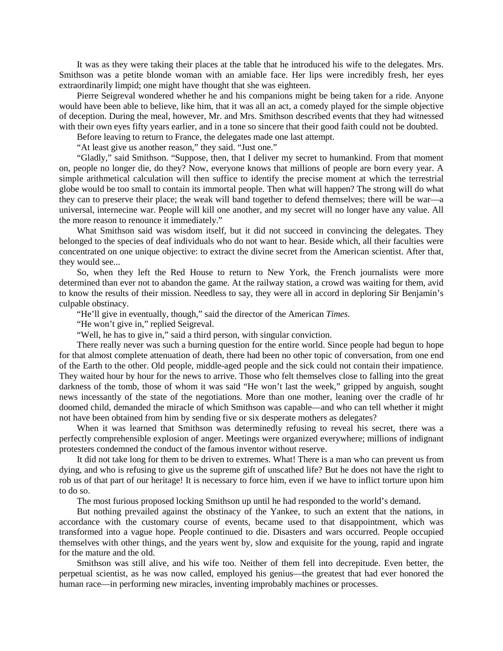It was as they were taking their places at the table that he introduced his wife to the delegates. Mrs. Smithson was a petite blonde woman with an amiable face. Her lips were incredibly fresh, her eyes extraordinarily limpid; one might have thought that she was eighteen.

Pierre Seigreval wondered whether he and his companions might be being taken for a ride. Anyone would have been able to believe, like him, that it was all an act, a comedy played for the simple objective of deception. During the meal, however, Mr. and Mrs. Smithson described events that they had witnessed with their own eyes fifty years earlier, and in a tone so sincere that their good faith could not be doubted.

Before leaving to return to France, the delegates made one last attempt.

"At least give us another reason," they said. "Just one."

"Gladly," said Smithson. "Suppose, then, that I deliver my secret to humankind. From that moment on, people no longer die, do they? Now, everyone knows that millions of people are born every year. A simple arithmetical calculation will then suffice to identify the precise moment at which the terrestrial globe would be too small to contain its immortal people. Then what will happen? The strong will do what they can to preserve their place; the weak will band together to defend themselves; there will be war—a universal, internecine war. People will kill one another, and my secret will no longer have any value. All the more reason to renounce it immediately."

What Smithson said was wisdom itself, but it did not succeed in convincing the delegates. They belonged to the species of deaf individuals who do not want to hear. Beside which, all their faculties were concentrated on one unique objective: to extract the divine secret from the American scientist. After that, they would see...

So, when they left the Red House to return to New York, the French journalists were more determined than ever not to abandon the game. At the railway station, a crowd was waiting for them, avid to know the results of their mission. Needless to say, they were all in accord in deploring Sir Benjamin's culpable obstinacy.

"He'll give in eventually, though," said the director of the American *Times*.

"He won't give in," replied Seigreval.

"Well, he has to give in," said a third person, with singular conviction.

There really never was such a burning question for the entire world. Since people had begun to hope for that almost complete attenuation of death, there had been no other topic of conversation, from one end of the Earth to the other. Old people, middle-aged people and the sick could not contain their impatience. They waited hour by hour for the news to arrive. Those who felt themselves close to falling into the great darkness of the tomb, those of whom it was said "He won't last the week," gripped by anguish, sought news incessantly of the state of the negotiations. More than one mother, leaning over the cradle of hr doomed child, demanded the miracle of which Smithson was capable—and who can tell whether it might not have been obtained from him by sending five or six desperate mothers as delegates?

When it was learned that Smithson was determinedly refusing to reveal his secret, there was a perfectly comprehensible explosion of anger. Meetings were organized everywhere; millions of indignant protesters condemned the conduct of the famous inventor without reserve.

It did not take long for them to be driven to extremes. What! There is a man who can prevent us from dying, and who is refusing to give us the supreme gift of unscathed life? But he does not have the right to rob us of that part of our heritage! It is necessary to force him, even if we have to inflict torture upon him to do so.

The most furious proposed locking Smithson up until he had responded to the world's demand.

But nothing prevailed against the obstinacy of the Yankee, to such an extent that the nations, in accordance with the customary course of events, became used to that disappointment, which was transformed into a vague hope. People continued to die. Disasters and wars occurred. People occupied themselves with other things, and the years went by, slow and exquisite for the young, rapid and ingrate for the mature and the old.

Smithson was still alive, and his wife too. Neither of them fell into decrepitude. Even better, the perpetual scientist, as he was now called, employed his genius—the greatest that had ever honored the human race—in performing new miracles, inventing improbably machines or processes.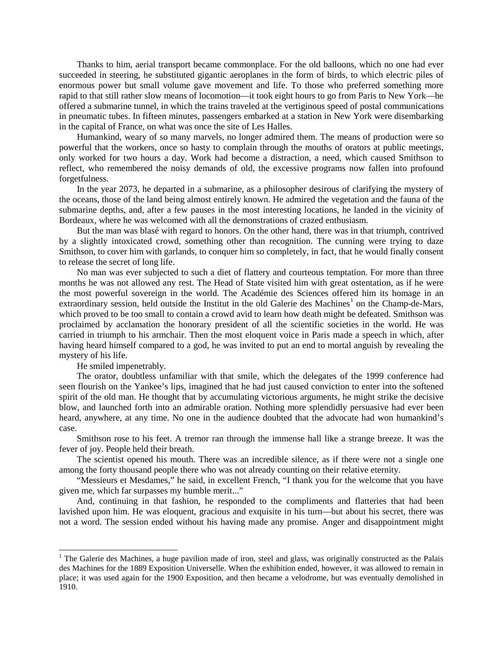Thanks to him, aerial transport became commonplace. For the old balloons, which no one had ever succeeded in steering, he substituted gigantic aeroplanes in the form of birds, to which electric piles of enormous power but small volume gave movement and life. To those who preferred something more rapid to that still rather slow means of locomotion—it took eight hours to go from Paris to New York—he offered a submarine tunnel, in which the trains traveled at the vertiginous speed of postal communications in pneumatic tubes. In fifteen minutes, passengers embarked at a station in New York were disembarking in the capital of France, on what was once the site of Les Halles.

Humankind, weary of so many marvels, no longer admired them. The means of production were so powerful that the workers, once so hasty to complain through the mouths of orators at public meetings, only worked for two hours a day. Work had become a distraction, a need, which caused Smithson to reflect, who remembered the noisy demands of old, the excessive programs now fallen into profound forgetfulness.

In the year 2073, he departed in a submarine, as a philosopher desirous of clarifying the mystery of the oceans, those of the land being almost entirely known. He admired the vegetation and the fauna of the submarine depths, and, after a few pauses in the most interesting locations, he landed in the vicinity of Bordeaux, where he was welcomed with all the demonstrations of crazed enthusiasm.

But the man was blasé with regard to honors. On the other hand, there was in that triumph, contrived by a slightly intoxicated crowd, something other than recognition. The cunning were trying to daze Smithson, to cover him with garlands, to conquer him so completely, in fact, that he would finally consent to release the secret of long life.

No man was ever subjected to such a diet of flattery and courteous temptation. For more than three months he was not allowed any rest. The Head of State visited him with great ostentation, as if he were the most powerful sovereign in the world. The Académie des Sciences offered him its homage in an extraordinary session, held outside the Institut in the old Galerie des Machines<sup>[1](#page-5-0)</sup> on the Champ-de-Mars, which proved to be too small to contain a crowd avid to learn how death might be defeated. Smithson was proclaimed by acclamation the honorary president of all the scientific societies in the world. He was carried in triumph to his armchair. Then the most eloquent voice in Paris made a speech in which, after having heard himself compared to a god, he was invited to put an end to mortal anguish by revealing the mystery of his life.

He smiled impenetrably.

The orator, doubtless unfamiliar with that smile, which the delegates of the 1999 conference had seen flourish on the Yankee's lips, imagined that he had just caused conviction to enter into the softened spirit of the old man. He thought that by accumulating victorious arguments, he might strike the decisive blow, and launched forth into an admirable oration. Nothing more splendidly persuasive had ever been heard, anywhere, at any time. No one in the audience doubted that the advocate had won humankind's case.

Smithson rose to his feet. A tremor ran through the immense hall like a strange breeze. It was the fever of joy. People held their breath.

The scientist opened his mouth. There was an incredible silence, as if there were not a single one among the forty thousand people there who was not already counting on their relative eternity.

"Messieurs et Mesdames," he said, in excellent French, "I thank you for the welcome that you have given me, which far surpasses my humble merit..."

And, continuing in that fashion, he responded to the compliments and flatteries that had been lavished upon him. He was eloquent, gracious and exquisite in his turn—but about his secret, there was not a word. The session ended without his having made any promise. Anger and disappointment might

<span id="page-5-0"></span><sup>&</sup>lt;sup>1</sup> The Galerie des Machines, a huge pavilion made of iron, steel and glass, was originally constructed as the Palais des Machines for the 1889 Exposition Universelle. When the exhibition ended, however, it was allowed to remain in place; it was used again for the 1900 Exposition, and then became a velodrome, but was eventually demolished in 1910.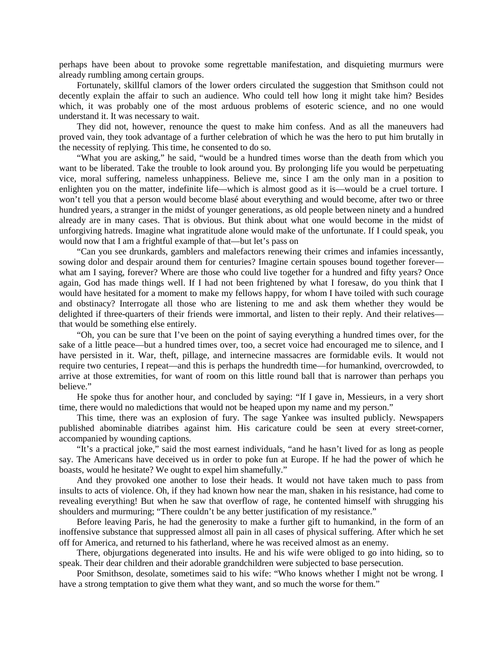perhaps have been about to provoke some regrettable manifestation, and disquieting murmurs were already rumbling among certain groups.

Fortunately, skillful clamors of the lower orders circulated the suggestion that Smithson could not decently explain the affair to such an audience. Who could tell how long it might take him? Besides which, it was probably one of the most arduous problems of esoteric science, and no one would understand it. It was necessary to wait.

They did not, however, renounce the quest to make him confess. And as all the maneuvers had proved vain, they took advantage of a further celebration of which he was the hero to put him brutally in the necessity of replying. This time, he consented to do so.

"What you are asking," he said, "would be a hundred times worse than the death from which you want to be liberated. Take the trouble to look around you. By prolonging life you would be perpetuating vice, moral suffering, nameless unhappiness. Believe me, since I am the only man in a position to enlighten you on the matter, indefinite life—which is almost good as it is—would be a cruel torture. I won't tell you that a person would become blasé about everything and would become, after two or three hundred years, a stranger in the midst of younger generations, as old people between ninety and a hundred already are in many cases. That is obvious. But think about what one would become in the midst of unforgiving hatreds. Imagine what ingratitude alone would make of the unfortunate. If I could speak, you would now that I am a frightful example of that—but let's pass on

"Can you see drunkards, gamblers and malefactors renewing their crimes and infamies incessantly, sowing dolor and despair around them for centuries? Imagine certain spouses bound together forever what am I saying, forever? Where are those who could live together for a hundred and fifty years? Once again, God has made things well. If I had not been frightened by what I foresaw, do you think that I would have hesitated for a moment to make my fellows happy, for whom I have toiled with such courage and obstinacy? Interrogate all those who are listening to me and ask them whether they would be delighted if three-quarters of their friends were immortal, and listen to their reply. And their relatives that would be something else entirely.

"Oh, you can be sure that I've been on the point of saying everything a hundred times over, for the sake of a little peace—but a hundred times over, too, a secret voice had encouraged me to silence, and I have persisted in it. War, theft, pillage, and internecine massacres are formidable evils. It would not require two centuries, I repeat—and this is perhaps the hundredth time—for humankind, overcrowded, to arrive at those extremities, for want of room on this little round ball that is narrower than perhaps you believe."

He spoke thus for another hour, and concluded by saying: "If I gave in, Messieurs, in a very short time, there would no maledictions that would not be heaped upon my name and my person."

This time, there was an explosion of fury. The sage Yankee was insulted publicly. Newspapers published abominable diatribes against him. His caricature could be seen at every street-corner, accompanied by wounding captions.

"It's a practical joke," said the most earnest individuals, "and he hasn't lived for as long as people say. The Americans have deceived us in order to poke fun at Europe. If he had the power of which he boasts, would he hesitate? We ought to expel him shamefully."

And they provoked one another to lose their heads. It would not have taken much to pass from insults to acts of violence. Oh, if they had known how near the man, shaken in his resistance, had come to revealing everything! But when he saw that overflow of rage, he contented himself with shrugging his shoulders and murmuring; "There couldn't be any better justification of my resistance."

Before leaving Paris, he had the generosity to make a further gift to humankind, in the form of an inoffensive substance that suppressed almost all pain in all cases of physical suffering. After which he set off for America, and returned to his fatherland, where he was received almost as an enemy.

There, objurgations degenerated into insults. He and his wife were obliged to go into hiding, so to speak. Their dear children and their adorable grandchildren were subjected to base persecution.

Poor Smithson, desolate, sometimes said to his wife: "Who knows whether I might not be wrong. I have a strong temptation to give them what they want, and so much the worse for them."